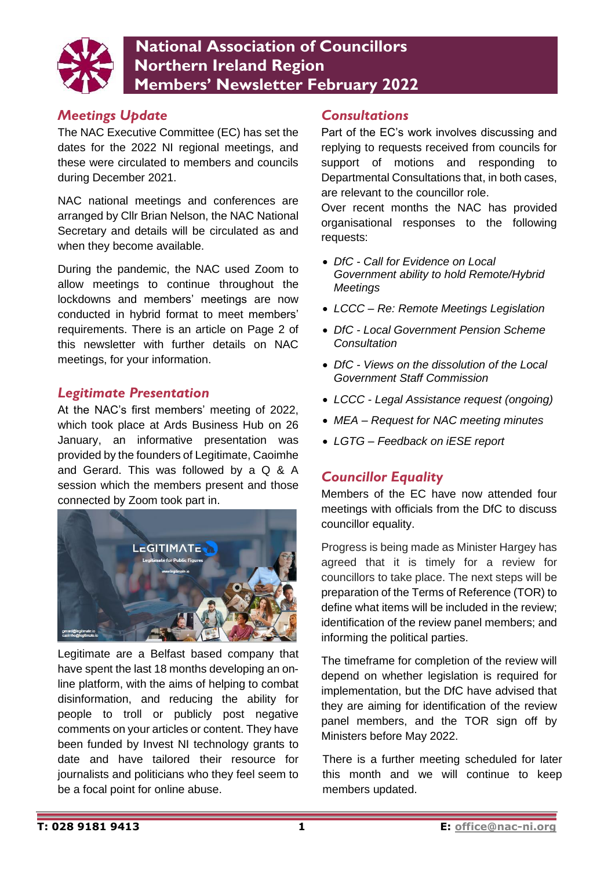

# **National Association of Councillors Northern Ireland Region Members' Newsletter February 2022**

#### *Meetings Update*

The NAC Executive Committee (EC) has set the dates for the 2022 NI regional meetings, and these were circulated to members and councils during December 2021.

NAC national meetings and conferences are arranged by Cllr Brian Nelson, the NAC National Secretary and details will be circulated as and when they become available.

During the pandemic, the NAC used Zoom to allow meetings to continue throughout the lockdowns and members' meetings are now conducted in hybrid format to meet members' requirements. There is an article on Page 2 of this newsletter with further details on NAC meetings, for your information.

#### *Legitimate Presentation*

At the NAC's first members' meeting of 2022, which took place at Ards Business Hub on 26 January, an informative presentation was provided by the founders of Legitimate, Caoimhe and Gerard. This was followed by a Q & A session which the members present and those connected by Zoom took part in.



Legitimate are a Belfast based company that have spent the last 18 months developing an online platform, with the aims of helping to combat disinformation, and reducing the ability for people to troll or publicly post negative comments on your articles or content. They have been funded by Invest NI technology grants to date and have tailored their resource for journalists and politicians who they feel seem to be a focal point for online abuse.

#### *Consultations*

Part of the EC's work involves discussing and replying to requests received from councils for support of motions and responding to Departmental Consultations that, in both cases, are relevant to the councillor role.

Over recent months the NAC has provided organisational responses to the following requests:

- *DfC - Call for Evidence on Local Government ability to hold Remote/Hybrid Meetings*
- *LCCC – Re: Remote Meetings Legislation*
- *DfC - Local Government Pension Scheme Consultation*
- *DfC - Views on the dissolution of the Local Government Staff Commission*
- *LCCC - Legal Assistance request (ongoing)*
- *MEA – Request for NAC meeting minutes*
- *LGTG – Feedback on iESE report*

#### *Councillor Equality*

Members of the EC have now attended four meetings with officials from the DfC to discuss councillor equality.

Progress is being made as Minister Hargey has agreed that it is timely for a review for councillors to take place. The next steps will be preparation of the Terms of Reference (TOR) to define what items will be included in the review; identification of the review panel members; and informing the political parties.

The timeframe for completion of the review will depend on whether legislation is required for implementation, but the DfC have advised that they are aiming for identification of the review panel members, and the TOR sign off by Ministers before May 2022.

There is a further meeting scheduled for later this month and we will continue to keep members updated.